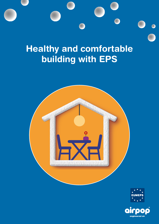

# **Healthy and comfortable building with EPS**



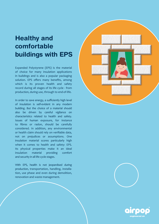### **Healthy and comfortable buildings with EPS**

Expanded Polystyrene (EPS) is the material of choice for many insulation applications in buildings and is also a popular packaging solution. EPS offers many benefits, among which is its proven health and safety record during all stages of its life cycle - from production, during use, through to end-of-life.

In order to save energy, a sufficiently high level of insulation is self-evident in any modern building. But the choice of a material should also be driven by careful vigilance on characteristics related to health and safety. Issues of human exposure, for instance to fibres or radon, should be carefully considered. In addition, any environmental or health claim should rely on verifiable data, not on prejudices or assumptions. One insulation material scores particularly high when it comes to health and safety: EPS. Its physical properties make it an ideal insulation material providing comfort and security in all life cycle stages.

With EPS, health is not jeopardised during production, transportation, handling, installation, use phase and even during demolition, renovation and waste management.





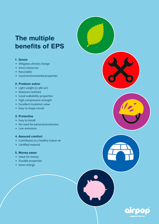## **The multiple benefits of EPS**

#### **1. Green**

- Mitigates climate change
- Saves resources
- Recyclable
- Good environmental properties

#### **2. Problem solver**

- Light weight (is 98% air)
- Moisture resistant
- Good walkability properties
- High compressive strength
- Excellent insulation value
- Easy to shape mould

#### **3. Protective**

- Easy to install
- No need for personal protection
- Low emissions

#### **4. Assured comfort**

- Contributes to a healthy indoor air
- Certified material

#### **5. Money saver**

- Value for money
- Durable properties
- Saves energy

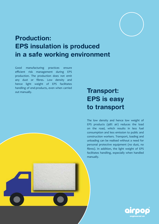

### **Production: EPS insulation is produced in a safe working environment**

Good manufacturing practices ensure efficient risk management during EPS production. The production does not emit any dust or fibres. Low density and hence light weight of EPS facilitates handling of end-products, even when carried out manually.

### **Transport: EPS is easy to transport**

The low density and hence low weight of EPS products (98% air) reduces the load on the road, which results in less fuel consumption and less emission to public and construction workers. Transport, loading and unloading can be realised without a need for personal protective equipment (no dust, no fibres). In addition, the light weight of EPS facilitates handling, especially when handled manually.

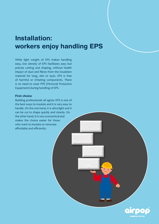### **Installation: workers enjoy handling EPS**

While light weight of EPS makes handling easy, low density of EPS facilitates easy but precise cutting and shaping, without health impact of dust and fibres from the insulation material for lung, skin or eyes. EPS is free of harmful or irritating components. There is no need to wear PPE (Personal Protective Equipment) during handling of EPS.

#### **First choice**

Building professionals all agree: EPS is one of the best ways to insulate and it is very easy to handle. On the one hand, it is ultra-light and it can be cut to shape quickly and cleanly. On the other hand, it is very economical and makes the choice easier for those who want to insulate or renovate affordably and efficiently.

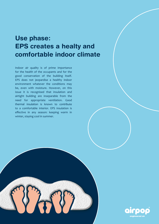### **Use phase: EPS creates a healty and comfortable indoor climate**

Indoor air quality is of prime importance for the health of the occupants and for the good conservation of the building itself. EPS does not jeopardise a healthy indoor environment whatever the conditions may be, even with moisture. However, on this issue it is recognised that insulation and airtight building are inseparable from the need for appropriate ventilation. Good thermal insulation is known to contribute to a comfortable interior. EPS insulation is effective in any season: keeping warm in winter, staying cool in summer.

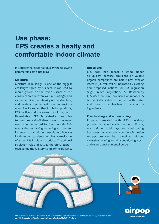### **Use phase: EPS creates a healty and comfortable indoor climate**

In considering indoor air quality the following parameters come into play:

#### **Moisture**

Moisture in buildings is one of the biggest challenges faced by builders. It can lead to mould growth on the inside surface of the construction and even within buildings. This can undermine the integrity of the structure, and create a poor, unhealthy indoor environment. Unlike some other insulation products, EPS actively discourages mould growth. Remarkably, EPS is virtually insensitive to moisture, and will absorb almost no water even when immersed for long periods. This means that remaining water ingress due, for instance, to rain during installation, leakage incidents or condensation has virtually no effect on EPS insulating products. The original insulation value of EPS is therefore guaranteed during the full service life of the building.

#### **Emissions**

EPS does not impact a good indoor air quality, because emissions of volatile organic compounds are below any level of interest (LCI-values<sup>1</sup>) as indicated by existing and proposed national or EU regulation (e.g. French regulation, AGBB<sup>2</sup>-scheme). EPS does not emit any fibres or radon. EPS is chemically stable in contact with water and there is no leaching of any of its ingredients.

#### **Overheating and undercooling**

Properly insulated with EPS, buildings provide a comfortable indoor climate, warm during cold days and cool during hot ones. A constant comfortable inside temperature can be maintained without excessive heating or air conditioning costs and related environmental burden.

engineered ai



*1 LCI: Lowest Concentration of Interest - harmonised health-based reference values for the assessment of product emissions 2 AGBB: German Committee for Health-related evaluation of Building Products*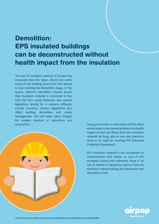## **Demolition: EPS insulated buildings can be deconstructed without health impact from the insulation**

The use of insulation material in Europe has increased since the 1960s. Slowly but surely some of the building stock from that period is now reaching the demolition stage. In the future, selective demolition should ensure that insulation material is recovered in line with the EU's waste hierarchy and current legislation, aiming for a resource efficient, circular economy. Stricter regulations also affect building demolition and waste management. This will mean some changes for workers involved in demolition and renovation<sup>3</sup>.



. During renovation or demolition of EPS, there are no issues to be concerned about the health impact of dust and fibres from the insulation material for lung, skin or eyes and therefore there is no need for wearing PPE (Personal Protective Equipment).

EPS Insulation material is not susceptible to contamination with mould. In case of EPS insulated construction elements, there is no risk of spread of dangerous spores from the insulation material during the renovation and demolition work.

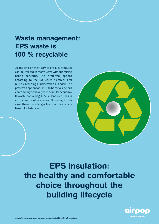### **Waste management: EPS waste is 100 % recyclable**

At the end of their service life EPS products can be treated in many ways without raising health concerns. The preferred options according to the EU waste hierarchy are: reuse > recycling > incineration > landfill. The preferred option for EPS is to be recycled, thus contributing positively to the circular economy. If waste containing EPS is landfilled, this is a total waste of resources. However, in this case, there is no danger from leaching of any harmful substances.



**EPS insulation: the healthy and comfortable choice throughout the building lifecycle**